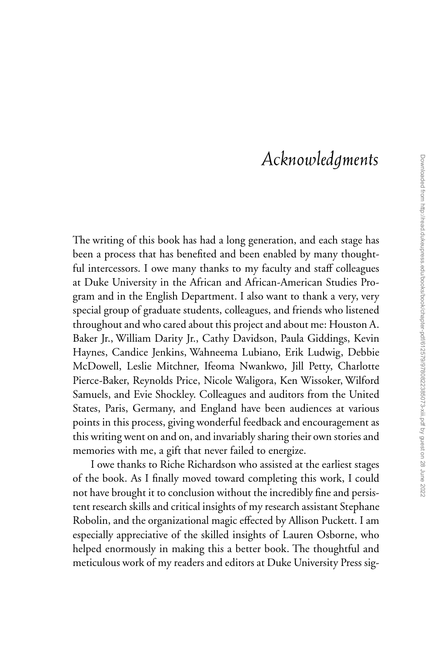## Acknowledgments

The writing of this book has had a long generation, and each stage has been a process that has benefited and been enabled by many thoughtful intercessors. I owe many thanks to my faculty and staff colleagues at Duke University in the African and African-American Studies Program and in the English Department. I also want to thank a very, very special group of graduate students, colleagues, and friends who listened throughout and who cared about this project and about me: Houston A. Baker Jr., William Darity Jr., Cathy Davidson, Paula Giddings, Kevin Haynes, Candice Jenkins, Wahneema Lubiano, Erik Ludwig, Debbie McDowell, Leslie Mitchner, Ifeoma Nwankwo, Jill Petty, Charlotte Pierce-Baker, Reynolds Price, Nicole Waligora, Ken Wissoker, Wilford Samuels, and Evie Shockley. Colleagues and auditors from the United States, Paris, Germany, and England have been audiences at various points in this process, giving wonderful feedback and encouragement as this writing went on and on, and invariably sharing their own stories and memories with me, a gift that never failed to energize.

I owe thanks to Riche Richardson who assisted at the earliest stages of the book. As I finally moved toward completing this work, I could not have brought it to conclusion without the incredibly fine and persistent research skills and critical insights of my research assistant Stephane Robolin, and the organizational magic effected by Allison Puckett. I am especially appreciative of the skilled insights of Lauren Osborne, who helped enormously in making this a better book. The thoughtful and meticulous work of my readers and editors at Duke University Press sig